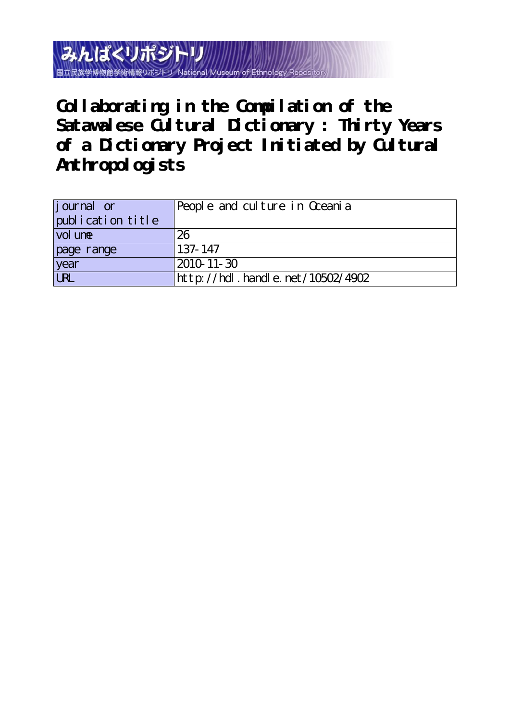みんぱくリポジト 国立民族学博物館学術情報リポジト

**Collaborating in the Compilation of the** Satawalese Cultural Dictionary : Thirty Years **of a Dictionary Project Initiated by Cultural Anthropologists**

| journal or                 | People and culture in Oceania        |  |  |  |
|----------------------------|--------------------------------------|--|--|--|
| publication title          |                                      |  |  |  |
| $\vert$ vol un $\mathbf e$ | 26                                   |  |  |  |
| page range                 | $137 - 147$                          |  |  |  |
| year<br>URL                | 2010-11-30                           |  |  |  |
|                            | http://hdl . handl e. net/10502/4902 |  |  |  |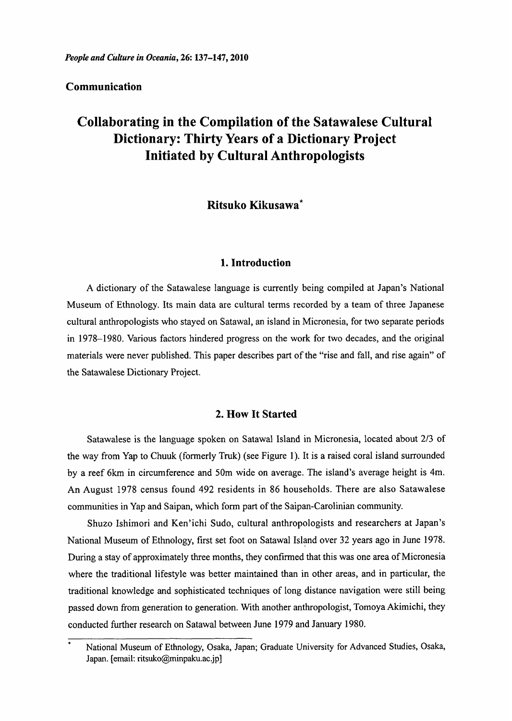# Communication

# Collaborating in the Compilation of the Satawalese Cultural Dictionary: Thirty Years of a Dictionary Project Initiated by Cultural Anthropologists

# Ritsuko Kikusawa\*

# 1. Introduction

 A dictionary of the Satawalese language is currently being compiled at Japan's National Museum of Ethnology. Its main data are cultural terms recorded by a team of three Japanese cultural anthropologists who stayed on Satawal, an island in Micronesia, for two separate periods in 1978-1980. Various factors hindered progress on the work for two decades, and the original materials were never published. This paper describes part of the "rise and fall, and rise again" of the Satawalese Dictionary Project.

## 2. How It Started

 Satawalese is the language spoken on Satawal Island in Micronesia, located about 2/3 of the way from Yap to Chuuk (formerly Truk) (see Figure 1). It is a raised coral island surrounded by a reef 6km in circumference and 50m wide on average. The island's average height is 4m. An August 1978 census found 492 residents in 86 households. There are also Satawalese communities in Yap and Saipan, which form part of the Saipan-Carolinian community.

Shuzo Ishimori and Ken'ichi Sudo, cultural anthropologists and researchers at Japan's National Museum of Ethnology, first set foot on Satawal Island over 32 years ago in June 1978. During a stay of approximately three months, they confirmed that this was one area of Micronesia where the traditional lifestyle was better maintained than in other areas, and in particular, the traditional knowledge and sophisticated techniques of long distance navigation were still being passed down from generation to generation. With another anthropologist, Tomoya Akimichi, they conducted further research on Satawal between June 1979 and January 1980.

National Museum of Ethnology, Osaka, Japan; Graduate University for Advanced Studies, Osaka, Japan. [email: ritsuko@minpaku.ac.jp]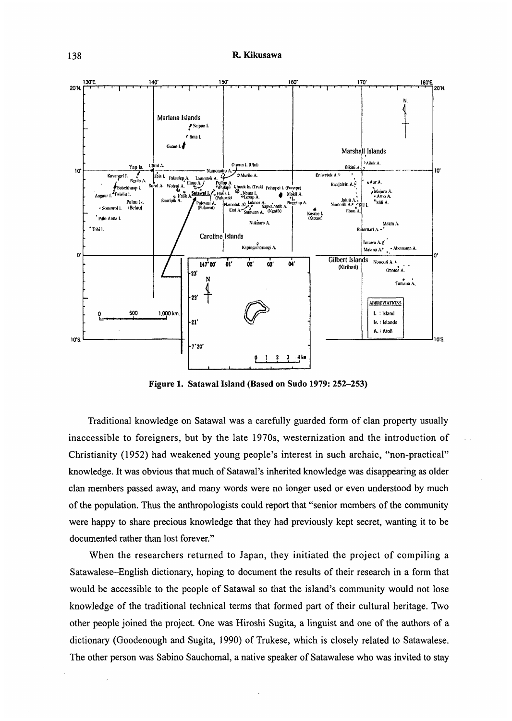

Figure 1. Satawal Island (Based on Sudo 1979: 252-253)

 Traditional knowledge on Satawal was a carefully guarded form of clan property usually inaccessible to foreigners, but by the late 1970s, westernization and the introduction of Christianity (1952) had weakened young people's interest in such archaic, "non-practical" knowledge. It was obvious that much of Satawal's inherited knowledge was disappearing as older clan members passed away, and many words were no longer used or even understood by much of the population. Thus the anthropologists could report that "senior members of the community were happy to share precious knowledge that they had previously kept secret, wanting it to be documented rather than lost forever."

When the researchers returned to Japan, they initiated the project of compiling a Satawalese—English dictionary, hoping to document the results of their research in a form that would be accessible to the people of Satawal so that the island's community would not lose knowledge of the traditional technical terms that formed part of their cultural heritage. Two other people joined the project. One was Hiroshi Sugita, a linguist and one of the authors of a dictionary (Goodenough and Sugita, 1990) of Trukese, which is closely related to Satawalese. The other person was Sabino Sauchomal, a native speaker of Satawalese who was invited to stay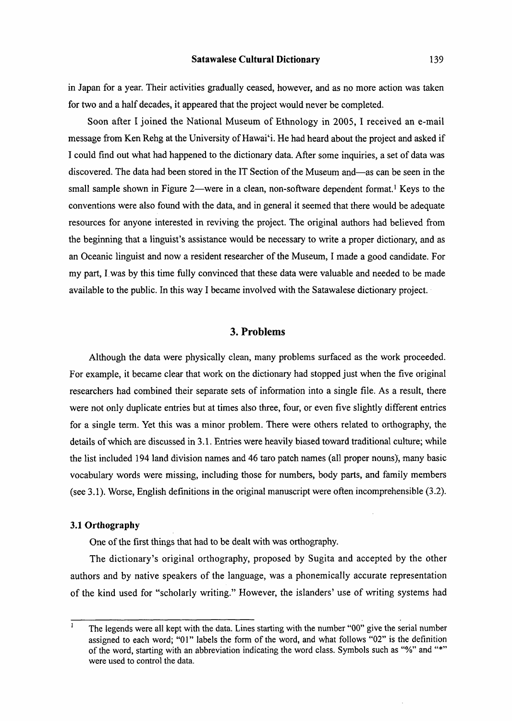in Japan for a year. Their activities gradually ceased, however, and as no more action was taken for two and a half decades, it appeared that the project would never be completed.

Soon after I joined the National Museum of Ethnology in 2005, I received an e-mail message from Ken Rehg at the University of Hawai'i. He had heard about the project and asked if I could find out what had happened to the dictionary data. After some inquiries, a set of data was discovered. The data had been stored in the IT Section of the Museum and—as can be seen in the small sample shown in Figure 2—were in a clean, non-software dependent format.' Keys to the conventions were also found with the data, and in general it seemed that there would be adequate resources for anyone interested in reviving the project. The original authors had believed from the beginning that a linguist's assistance would be necessary to write a proper dictionary, and as an Oceanic linguist and now a resident researcher of the Museum, I made a good candidate. For my part, I was by this time fully convinced that these data were valuable and needed to be made available to the public. In this way I became involved with the Satawalese dictionary project.

# 3. Problems

 Although the data were physically clean, many problems surfaced as the work proceeded. For example, it became clear that work on the dictionary had stopped just when the five original researchers had combined their separate sets of information into a single file. As a result, there were not only duplicate entries but at times also three, four, or even five slightly different entries for a single term. Yet this was a minor problem. There were others related to orthography, the details of which are discussed in 3.1. Entries were heavily biased toward traditional culture; while the list included 194 land division names and 46 taro patch names (all proper nouns), many basic vocabulary words were missing, including those for numbers, body parts, and family members (see 3.1). Worse, English definitions in the original manuscript were often incomprehensible (3.2).

# 3.1 Orthography

One of the first things that had to be dealt with was orthography.

The dictionary's original orthography, proposed by Sugita and accepted by the other authors and by native speakers of the language, was a phonemically accurate representation of the kind used for "scholarly writing." However, the islanders' use of writing systems had

 $\overline{1}$ The legends were all kept with the data. Lines starting with the number "00" give the serial number assigned to each word; "01" labels the form of the word, and what follows "02" is the definition of the word, starting with an abbreviation indicating the word class. Symbols such as "%" and "\*" were used to control the data.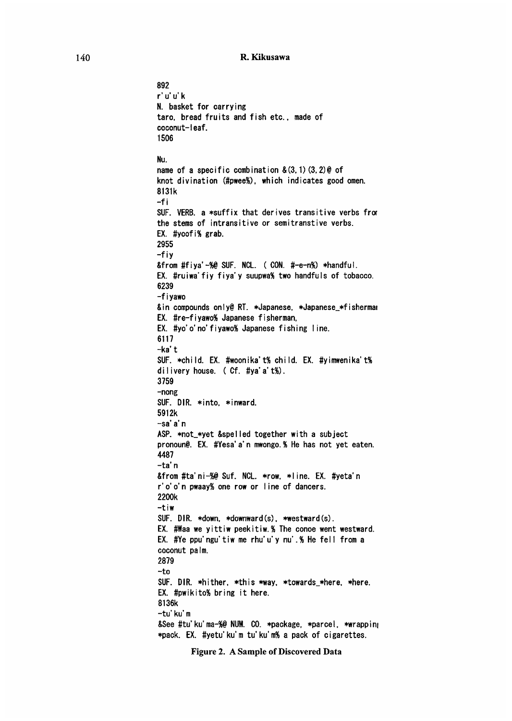```
892 
 r'u'u'k 
N. basket for carrying 
taro, bread fruits and fish etc., made of 
coconut-leaf. 
1506
Nu. 
name of a specific combination &(3,1)(3,2) @ of
knot divination (#pwee%), which indicates good omen. 
8131k 
-f i 
SUF. VERB. a *suffix that derives transitive verbs fror 
the stems of intransitive or semitranstive verbs. 
EX. #yoofi% grab. 
2955 
-fiy 
&from #fiya'-%@ SUF. NCL. ( CON. #-e-n%) *handful.
EX. #ruiwa'fiy fiya'y suupwa% two handfuls of tobacco. 
6239 
 -f i yawo 
&in compounds only@ RT. *Japanese, *Japanese_*fishermar 
EX. #re-fiyawo% Japanese fisherman, 
EX. #yo'o'no'fiyawo% Japanese fishing line. 
6117 
 -ka't 
SUF. *child. EX. #woonika't% child. EX. #yimwenika't% 
dilivery house. ( Cf. #ya'a't%). 
3759 
-nong 
SUF. DIR. *into, *inward. 
5912k 
-sa' a' n 
ASP. *not_*yet &spelled together with a subject 
pronoun@. EX. #Yesa'a'n mwongo.% He has not yet eaten. 
4487 
 -ta'n 
&from #ta'ni-%@ Suf. NCL. *row. *line. EX. #yeta'n
r'o'o'n pwaay% one row or line of dancers. 
2200k 
 -tiw 
SUF. DIR. *down, *downward(s), *westward(s). 
EX. #Waa we yittiw peekitiw.% The conoe went westward. 
EX. #Ye ppu'ngu'tiw me rhu'u'y nu'.% He fell from a 
coconut palm. 
2879 
-to 
SUF. DIR. *hither, *this *way, *towards_*here, *here. 
EX. #pwikito% bring it here. 
8136k 
 -tu'ku'm 
&See #tu'ku'ma-%@ NUM. CO. *package, *parcel, *wrapping
*pack. EX. #yetu'ku'm tu'ku'm% a pack of cigarettes.
```
Figure 2. A Sample of Discovered Data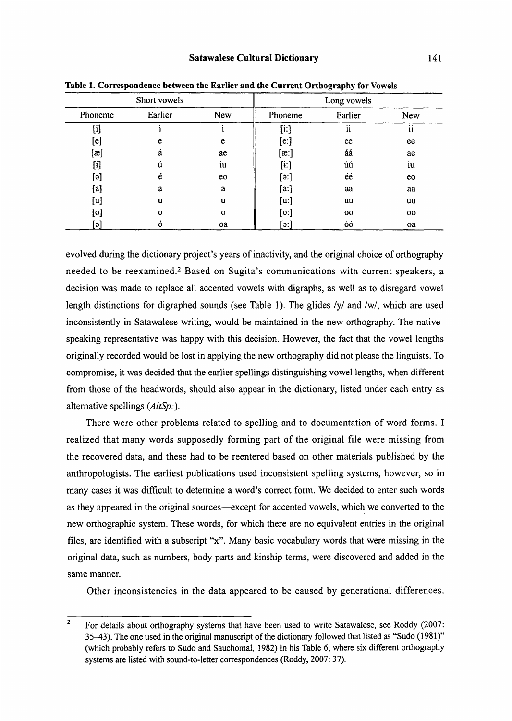| Short vowels   |         |              | Long vowels                                                                                                                                                                                                                                               |         |     |
|----------------|---------|--------------|-----------------------------------------------------------------------------------------------------------------------------------------------------------------------------------------------------------------------------------------------------------|---------|-----|
| Phoneme        | Earlier | New          | Phoneme                                                                                                                                                                                                                                                   | Earlier | New |
| [i]            |         |              | $[$ i:]                                                                                                                                                                                                                                                   | ii      | ii  |
| $[\mathrm{e}]$ | e       | e            | [e:]                                                                                                                                                                                                                                                      | ee      | ee  |
| $[\mathbf{a}]$ | á       | ae           | $[\mathbf{a}$ :]                                                                                                                                                                                                                                          | áá      | ae  |
| [ɨ]            | ũ       | iu           | $[4:] % \begin{center} % \includegraphics[width=\linewidth]{imagesSupplemental_3.png} % \end{center} % \caption { % Our method is used for the method. % The method is used in the image. % The method is used in the image. % } % \label{fig:example} %$ | úú      | iu  |
| [ခ]            | é       | eo           | [3:]                                                                                                                                                                                                                                                      | éé      | eo  |
| [a]            | a       | a            | [a:]                                                                                                                                                                                                                                                      | aa      | aa  |
| [u]            | u       | u            | [u:]                                                                                                                                                                                                                                                      | uu      | uu  |
| [0]            | 0       | $\mathbf{o}$ | [0:]                                                                                                                                                                                                                                                      | 00      | oo  |
| [၁]            |         | oa           | [၁:]                                                                                                                                                                                                                                                      | óó      | oa  |

Table 1. Correspondence between the Earlier and the Current Orthography for Vowels

evolved during the dictionary project's years of inactivity, and the original choice of orthography needed to be reexamined.2 Based on Sugita's communications with current speakers, a decision was made to replace all accented vowels with digraphs, as well as to disregard vowel length distinctions for digraphed sounds (see Table 1). The glides /y/ and /w/, which are used inconsistently in Satawalese writing, would be maintained in the new orthography. The nativespeaking representative was happy with this decision. However, the fact that the vowel lengths originally recorded would be lost in applying the new orthography did not please the linguists. To compromise, it was decided that the earlier spellings distinguishing vowel lengths, when different from those of the headwords, should also appear in the dictionary, listed under each entry as alternative spellings (AltSp:).

There were other problems related to spelling and to documentation of word forms. I realized that many words supposedly forming part of the original file were missing from the recovered data, and these had to be reentered based on other materials published by the anthropologists. The earliest publications used inconsistent spelling systems, however, so in many cases it was difficult to determine a word's correct form. We decided to enter such words as they appeared in the original sources—except for accented vowels, which we converted to the new orthographic system. These words, for which there are no equivalent entries in the original files, are identified with a subscript "x". Many basic vocabulary words that were missing in the original data, such as numbers, body parts and kinship terms, were discovered and added in the same manner.

Other inconsistencies in the data appeared to be caused by generational differences.

<sup>2</sup> For details about orthography systems that have been used to write Satawalese, see Roddy (2007: 35-43). The one used in the original manuscript of the dictionary followed that listed as "Sudo (1981)" (which probably refers to Sudo and Sauchomal, 1982) in his Table 6, where six different orthography systems are listed with sound-to-letter correspondences (Roddy, 2007: 37).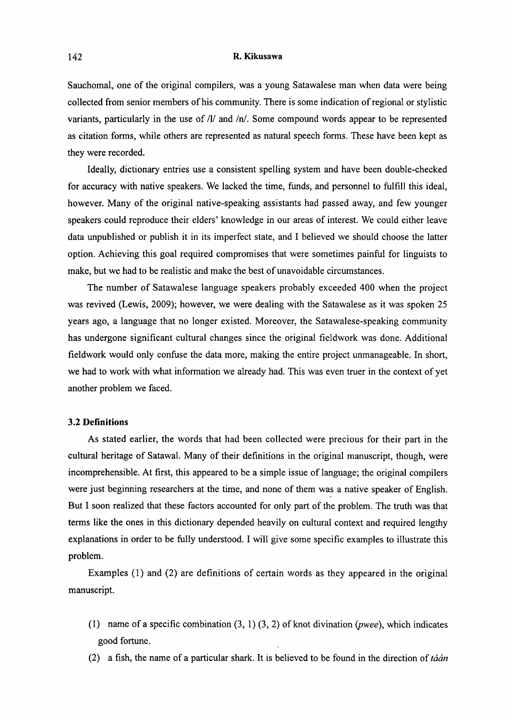### 142 R. Kikusawa

Sauchomal, one of the original compilers, was a young Satawalese man when data were being collected from senior members of his community. There is some indication of regional or stylistic variants, particularly in the use of  $/1/$  and  $/n/$ . Some compound words appear to be represented as citation forms, while others are represented as natural speech forms. These have been kept as they were recorded.

Ideally, dictionary entries use a consistent spelling system and have been double-checked for accuracy with native speakers. We lacked the time, funds, and personnel to fulfill this ideal, however. Many of the original native-speaking assistants had passed away, and few younger speakers could reproduce their elders' knowledge in our areas of interest. We could either leave data unpublished or publish it in its imperfect state, and I believed we should choose the latter option. Achieving this goal required compromises that were sometimes painful for linguists to make, but we had to be realistic and make the best of unavoidable circumstances.

The number of Satawalese language speakers probably exceeded 400 when the project was revived (Lewis, 2009); however, we were dealing with the Satawalese as it was spoken 25 years ago, a language that no longer existed. Moreover, the Satawalese-speaking community has undergone significant cultural changes since the original fieldwork was done. Additional fieldwork would only confuse the data more, making the entire project unmanageable. In short, we had to work with what information we already had. This was even truer in the context of yet another problem we faced.

# 3.2 Definitions

 As stated earlier, the words that had been collected were precious for their part in the cultural heritage of Satawal. Many of their definitions in the original manuscript, though, were incomprehensible. At first, this appeared to be a simple issue of language; the original compilers were just beginning researchers at the time, and none of them was a native speaker of English. But I soon realized that these factors accounted for only part of the problem. The truth was that terms like the ones in this dictionary depended heavily on cultural context and required lengthy explanations in order to be fully understood. I will give some specific examples to illustrate this problem.

 Examples (1) and (2) are definitions of certain words as they appeared in the original manuscript.

- (1) name of a specific combination  $(3, 1)$   $(3, 2)$  of knot divination (*pwee*), which indicates good fortune.
- (2) a fish, the name of a particular shark. It is believed to be found in the direction of tá an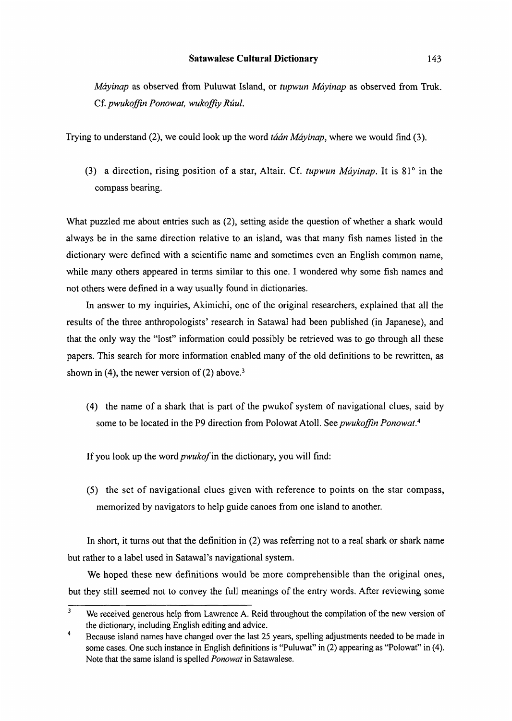Máyinap as observed from Puluwat Island, or tupwun Máyinap as observed from Truk. Cf. pwukoffin Ponowat, wukoffiy Rúul.

Trying to understand  $(2)$ , we could look up the word *taan Mayinap*, where we would find  $(3)$ .

(3) a direction, rising position of a star, Altair. Cf. tupwun Mayinap. It is  $81^\circ$  in the compass bearing.

What puzzled me about entries such as (2), setting aside the question of whether a shark would always be in the same direction relative to an island, was that many fish names listed in the dictionary were defined with a scientific name and sometimes even an English common name, while many others appeared in terms similar to this one. I wondered why some fish names and not others were defined in a way usually found in dictionaries.

In answer to my inquiries, Akimichi, one of the original researchers, explained that all the results of the three anthropologists' research in Satawal had been published (in Japanese), and that the only way the "lost" information could possibly be retrieved was to go through all these papers. This search for more information enabled many of the old definitions to be rewritten, as shown in (4), the newer version of  $(2)$  above.<sup>3</sup>

(4) the name of a shark that is part of the pwukof system of navigational clues, said by some to be located in the P9 direction from Polowat Atoll. See pwukoffin Ponowat.<sup>4</sup>

If you look up the word pwukof in the dictionary, you will find:

 $(5)$  the set of navigational clues given with reference to points on the star compa memorized by navigators to help guide canoes from one island to another.

 In short, it turns out that the definition in (2) was referring not to a real shark or shark name but rather to a label used in Satawal's navigational system.

We hoped these new definitions would be more comprehensible than the original ones, but they still seemed not to convey the full meanings of the entry words. After reviewing some

<sup>&</sup>lt;sup>3</sup> We received generous help from Lawrence A. Reid throughout the compilation of the new version of the dictionary, including English editing and advice.

<sup>4</sup> Because island names have changed over the last 25 years , spelling adjustments needed to be made in some cases. One such instance in English definitions is "Puluwat" in (2) appearing as "Polowat" in (4). Note that the same island is spelled Ponowat in Satawalese.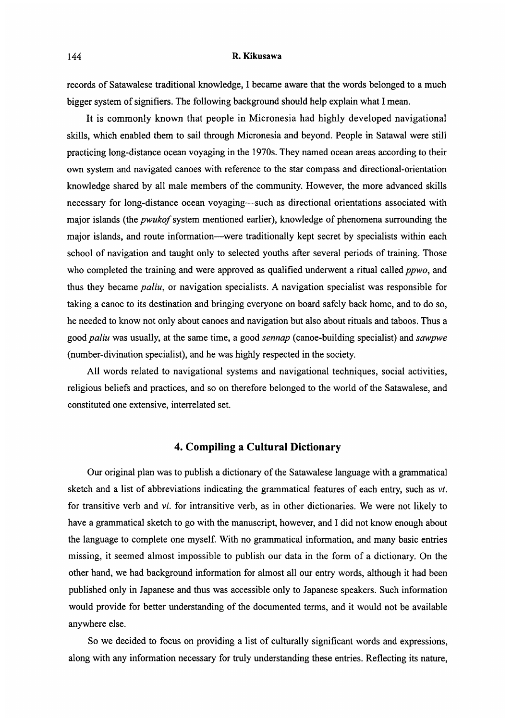#### 144 R. Kikusawa

records of Satawalese traditional knowledge, I became aware that the words belonged to a much bigger system of signifiers. The following background should help explain what I mean.

It is commonly known that people in Micronesia had highly developed navigational skills, which enabled them to sail through Micronesia and beyond. People in Satawal were still practicing long-distance ocean voyaging in the 1970s. They named ocean areas according to their own system and navigated canoes with reference to the star compass and directional-orientation knowledge shared by all male members of the community. However, the more advanced skills necessary for long-distance ocean voyaging—such as directional orientations associated with major islands (the pwukof system mentioned earlier), knowledge of phenomena surrounding the major islands, and route information—were traditionally kept secret by specialists within each school of navigation and taught only to selected youths after several periods of training. Those who completed the training and were approved as qualified underwent a ritual called *ppwo*, and thus they became paliu, or navigation specialists. A navigation specialist was responsible for taking a canoe to its destination and bringing everyone on board safely back home, and to do so, he needed to know not only about canoes and navigation but also about rituals and taboos. Thus a good paliu was usually, at the same time, a good sennap (canoe-building specialist) and sawpwe (number-divination specialist), and he was highly respected in the society.

All words related to navigational systems and navigational techniques, social activities, religious beliefs and practices, and so on therefore belonged to the world of the Satawalese, and constituted one extensive, interrelated set.

# 4. Compiling a Cultural Dictionary

 Our original plan was to publish a dictionary of the Satawalese language with a grammatical sketch and a list of abbreviations indicating the grammatical features of each entry, such as vt. for transitive verb and vi. for intransitive verb, as in other dictionaries. We were not likely to have a grammatical sketch to go with the manuscript, however, and I did not know enough about the language to complete one myself. With no grammatical information, and many basic entries missing, it seemed almost impossible to publish our data in the form of a dictionary. On the other hand, we had background information for almost all our entry words, although it had been published only in Japanese and thus was accessible only to Japanese speakers. Such information would provide for better understanding of the documented terms, and it would not be available anywhere else.

So we decided to focus on providing a list of culturally significant words and expressions, along with any information necessary for truly understanding these entries. Reflecting its nature,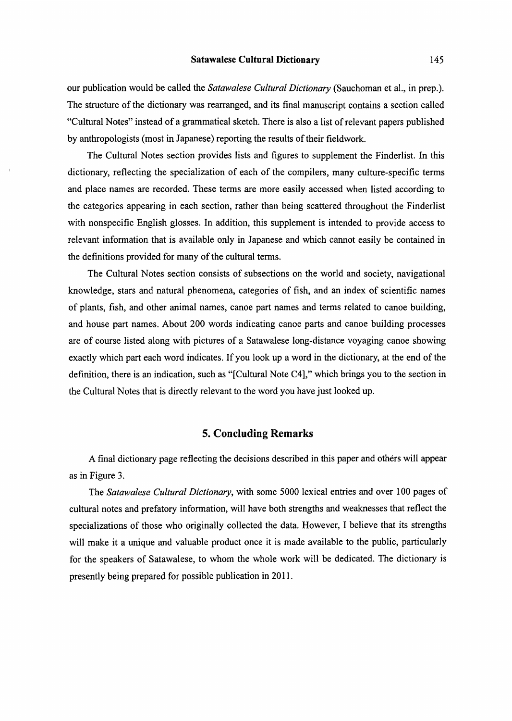our publication would be called the Satawalese Cultural Dictionary (Sauchoman et al., in prep.). The structure of the dictionary was rearranged, and its final manuscript contains a section called "Cultural Notes" instead of a grammatical sketch . There is also a list of relevant papers published by anthropologists (most in Japanese) reporting the results of their fieldwork.

The Cultural Notes section provides lists and figures to supplement the Finderlist. In this dictionary, reflecting the specialization of each of the compilers, many culture-specific terms and place names are recorded. These terms are more easily accessed when listed according to the categories appearing in each section, rather than being scattered throughout the Finderlist with nonspecific English glosses. In addition, this supplement is intended to provide access to relevant information that is available only in Japanese and which cannot easily be contained in the definitions provided for many of the cultural terms.

The Cultural Notes section consists of subsections on the world and society, navigational knowledge, stars and natural phenomena, categories of fish, and an index of scientific names of plants, fish, and other animal names, canoe part names and terms related to canoe building, and house part names. About 200 words indicating canoe parts and canoe building processes are of course listed along with pictures of a Satawalese long-distance voyaging canoe showing exactly which part each word indicates. If you look up a word in the dictionary, at the end of the definition, there is an indication, such as "[Cultural Note C4]," which brings you to the section in the Cultural Notes that is directly relevant to the word you have just looked up.

# 5. Concluding Remarks

 A final dictionary page reflecting the decisions described in this paper and others will appear as in Figure 3.

The Satawalese Cultural Dictionary, with some 5000 lexical entries and over 100 pages of cultural notes and prefatory information, will have both strengths and weaknesses that reflect the specializations of those who originally collected the data. However, I believe that its strengths will make it a unique and valuable product once it is made available to the public, particularly for the speakers of Satawalese, to whom the whole work will be dedicated. The dictionary is presently being prepared for possible publication in 2011.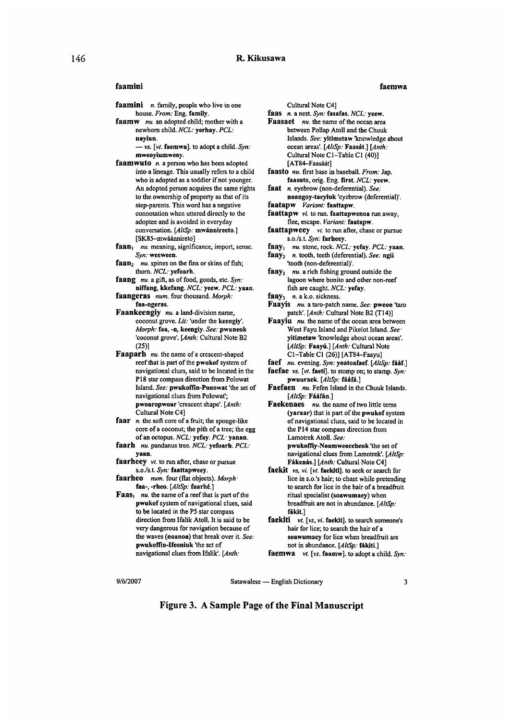#### faamini faemwa

- faamini n. family, people who live in one house. From: Eng. family.
- faamw nu. an adopted child; mother with a newborn child. NCL: yerhay. PCL: nayiun.

 $-$  vs. [vt. faemwa]. to adopt a child. Syn: mweoyiumweoy.

- faamwuto  $n$ . a person who has been adopted into a lineage. This usually refers to a child who is adopted as a toddler if not younger. An adopted person acquires the same rights to the ownership of property as that of its step-parents. This word has a negative connotation when uttered directly to the adoptee and is avoided in everyday conversation. [AltSp: mwánnireeto.] [SK85-mwáánnireto]
- faan<sub>1</sub> nu. meaning, significance, import, sense. Syn: weeween.
- $faan_2$  nu. spines on the fins or skins of fish; thorn. NCL: yefoarh.
- faang nu. a gift, as of food, goods, etc. Syn: niffang, kkefang. NCL: yeew. PCL: yaan.
- faangeras num. four thousand. Morph: faa-ngeras.
- Faankeengiy nu. a land-division name, coconut grove. Lit: 'under the keengiy'. Morph: faa, -n, keengiy. See: pwuneok 'coconut grove' . [Anth: Cultural Note B2 (25)]
- Faaparh nu. the name of a crescent-shaped reef that is part of the pwukof system of navigational clues, said to be located in the P18 star compass direction from Polowat Island. See: pwukoffin-Ponowat 'the set of navigational clues from Polowat; pwoaropwoar 'crescent shape'. [Anth: Cultural Note C4]
- faar  $n$ , the soft core of a fruit; the sponge-like core of a coconut; the pith of a tree; the egg of an octopus. NCL: yefay. PCL• yanan.
- faarh nu. pandanus tree. NCL: yefoarh. PCL: yaan.
- faarheey vt. to run after, chase or pursue s.o./s.t. Syn: faattapweey.
- faarheo num. four (flat objects). Morph faa-, -rheo. [AltSp: faarhe.]
- **Faas**, nu. the name of a reef that is part of the pwukof system of navigational clues, said to be located in the P5 star compass direction from Ifalik Atoll. It is said to be very dangerous for navigation because of the waves (noanoa) that break over it. See: pwukoffin-Ifeoniuk 'the set of navigational clues from Ifalik'. [Anth:

Cultural Note C4]

- faas n. a nest. Syn: fasafas. NCL: yeew.
- Faasaet nu. the name of the ocean area between Pollap Atoll and the Chuuk Islands. See: yitimetaw 'knowledge about ocean areas'. [AltSp: Faasát.] [Anth: Cultural Note C1-Table C1 (40)] [AT84–Faasáát]
- faasto nu. first base in baseball. From: Jap. faasuto, orig. Eng. first. NCL: yeew.
- faat n. eyebrow (non-deferential). See: noangoy-taeyiuk 'eyebrow (deferential)'.
- faatapw Variant: faattapw.
- faattapw vi. to run. faattapwenoa run away, flee, escape. Variant: faatapw.
- faattapweey vt. to run after, chase or pursue s.o./s.t. Syn: farheey.
- faay<sub>1</sub>  $nu$ . stone, rock. NCL: yefay. PCL: yaan. faay<sub>2</sub> n. tooth, teeth (deferential). See: ngii
- 'tooth (non-deferential)'.  $\textbf{fay}_2$  nu. a rich fishing ground outside the
- lagoon where bonito and other non-reef fish are caught. NCL: yefay.
- faay<sub>3</sub>  $n.$  a k.o. sickness.
- Faayis nu. a taro-patch name. See: pweon 'taro patch'. [Anth: Cultural Note B2 (T14)]
- Faayiu nu. the name of the ocean area between West Fayu Island and Pikelot Island. See: yitimetaw 'knowledge about ocean areas'. [AltSp: Faayú.] [Anth: Cultural Note C 1 –Table C I (26)] [AT84–Faayu]
- faef  $nu$ . evening. Syn: yoatoafaef. [AltSp: fááf.]
- faefae vs. [vt. faeti]. to stomp on; to stamp. Syn: pwuuraek. [AltSp: fááfá.]
- Faefaen nu. Fefen Island in the Chuuk Islands. [AltSp: Fááfán.]
- Faekenaes nu. the name of two little terns (yaraar) that is part of the pwukof system of navigational clues, said to be located in the P14 star compass direction from Lamotrek Atoll. See: pwukoffiy-Noamweoccheok 'the set of navigational clues from Lamotrek'. [AltSp: Fákenás.] [Anth: Cultural Note C4]
- faekit vs, vi. [vt. faekiti]. to seek or search for lice in s.o.'s hair; to chant while pretending to search for lice in the hair of a breadfruit ritual specialist (soawumaey) when breadfruit are not in abundance. [AltSp: fákit.]
- faekiti vt. [vs, vi. faekit]. to search someone's hair for lice; to search the hair of a soawumaey for lice when breadfruit are not in abundance. [AltSp: fákiti.]
- faemwa vt. [vs. faamw]. to adopt a child. Syn:

9/6/2007 Satawalese — English Dictionary 3

Figure 3. A Sample Page of the Final Manuscript